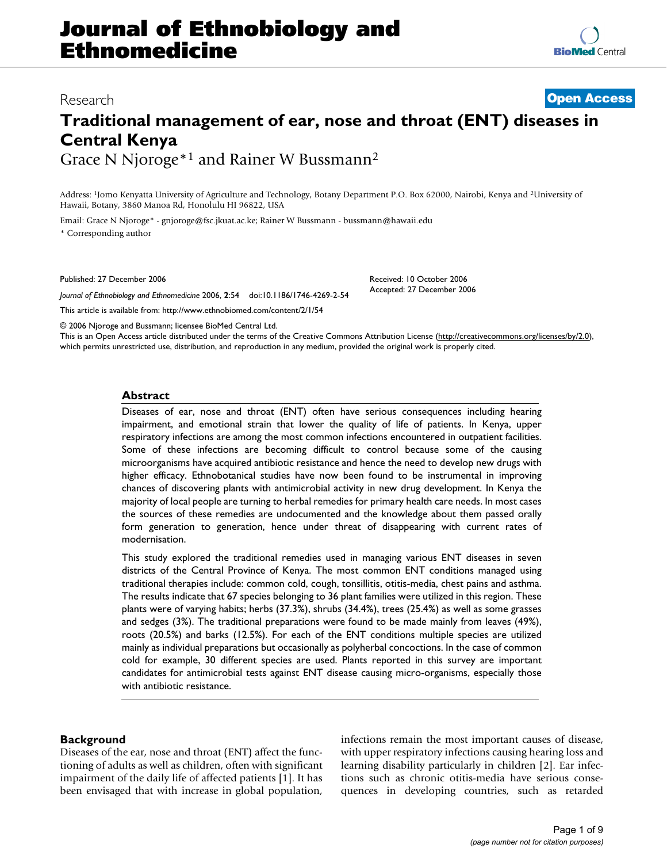# Research **[Open Access](http://www.biomedcentral.com/info/about/charter/) Traditional management of ear, nose and throat (ENT) diseases in Central Kenya** Grace N Njoroge\*1 and Rainer W Bussmann2

Address: 1Jomo Kenyatta University of Agriculture and Technology, Botany Department P.O. Box 62000, Nairobi, Kenya and 2University of Hawaii, Botany, 3860 Manoa Rd, Honolulu HI 96822, USA

Email: Grace N Njoroge\* - gnjoroge@fsc.jkuat.ac.ke; Rainer W Bussmann - bussmann@hawaii.edu \* Corresponding author

Published: 27 December 2006

*Journal of Ethnobiology and Ethnomedicine* 2006, **2**:54 doi:10.1186/1746-4269-2-54

[This article is available from: http://www.ethnobiomed.com/content/2/1/54](http://www.ethnobiomed.com/content/2/1/54)

Received: 10 October 2006 Accepted: 27 December 2006

© 2006 Njoroge and Bussmann; licensee BioMed Central Ltd.

This is an Open Access article distributed under the terms of the Creative Commons Attribution License [\(http://creativecommons.org/licenses/by/2.0\)](http://creativecommons.org/licenses/by/2.0), which permits unrestricted use, distribution, and reproduction in any medium, provided the original work is properly cited.

#### **Abstract**

Diseases of ear, nose and throat (ENT) often have serious consequences including hearing impairment, and emotional strain that lower the quality of life of patients. In Kenya, upper respiratory infections are among the most common infections encountered in outpatient facilities. Some of these infections are becoming difficult to control because some of the causing microorganisms have acquired antibiotic resistance and hence the need to develop new drugs with higher efficacy. Ethnobotanical studies have now been found to be instrumental in improving chances of discovering plants with antimicrobial activity in new drug development. In Kenya the majority of local people are turning to herbal remedies for primary health care needs. In most cases the sources of these remedies are undocumented and the knowledge about them passed orally form generation to generation, hence under threat of disappearing with current rates of modernisation.

This study explored the traditional remedies used in managing various ENT diseases in seven districts of the Central Province of Kenya. The most common ENT conditions managed using traditional therapies include: common cold, cough, tonsillitis, otitis-media, chest pains and asthma. The results indicate that 67 species belonging to 36 plant families were utilized in this region. These plants were of varying habits; herbs (37.3%), shrubs (34.4%), trees (25.4%) as well as some grasses and sedges (3%). The traditional preparations were found to be made mainly from leaves (49%), roots (20.5%) and barks (12.5%). For each of the ENT conditions multiple species are utilized mainly as individual preparations but occasionally as polyherbal concoctions. In the case of common cold for example, 30 different species are used. Plants reported in this survey are important candidates for antimicrobial tests against ENT disease causing micro-organisms, especially those with antibiotic resistance.

### **Background**

Diseases of the ear, nose and throat (ENT) affect the functioning of adults as well as children, often with significant impairment of the daily life of affected patients [1]. It has been envisaged that with increase in global population, infections remain the most important causes of disease, with upper respiratory infections causing hearing loss and learning disability particularly in children [2]. Ear infections such as chronic otitis-media have serious consequences in developing countries, such as retarded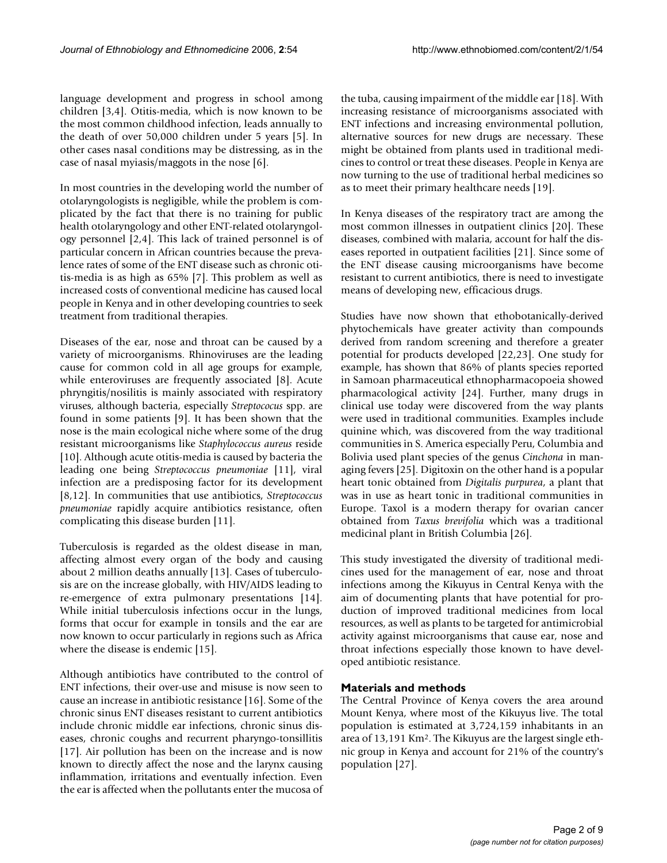language development and progress in school among children [3,4]. Otitis-media, which is now known to be the most common childhood infection, leads annually to the death of over 50,000 children under 5 years [5]. In other cases nasal conditions may be distressing, as in the case of nasal myiasis/maggots in the nose [6].

In most countries in the developing world the number of otolaryngologists is negligible, while the problem is complicated by the fact that there is no training for public health otolaryngology and other ENT-related otolaryngology personnel [2,4]. This lack of trained personnel is of particular concern in African countries because the prevalence rates of some of the ENT disease such as chronic otitis-media is as high as 65% [7]. This problem as well as increased costs of conventional medicine has caused local people in Kenya and in other developing countries to seek treatment from traditional therapies.

Diseases of the ear, nose and throat can be caused by a variety of microorganisms. Rhinoviruses are the leading cause for common cold in all age groups for example, while enteroviruses are frequently associated [8]. Acute phryngitis/nosilitis is mainly associated with respiratory viruses, although bacteria, especially *Streptococus* spp. are found in some patients [9]. It has been shown that the nose is the main ecological niche where some of the drug resistant microorganisms like *Staphylococcus aureus* reside [10]. Although acute otitis-media is caused by bacteria the leading one being *Streptococcus pneumoniae* [11], viral infection are a predisposing factor for its development [8,12]. In communities that use antibiotics, *Streptococcus pneumoniae* rapidly acquire antibiotics resistance, often complicating this disease burden [11].

Tuberculosis is regarded as the oldest disease in man, affecting almost every organ of the body and causing about 2 million deaths annually [13]. Cases of tuberculosis are on the increase globally, with HIV/AIDS leading to re-emergence of extra pulmonary presentations [14]. While initial tuberculosis infections occur in the lungs, forms that occur for example in tonsils and the ear are now known to occur particularly in regions such as Africa where the disease is endemic [15].

Although antibiotics have contributed to the control of ENT infections, their over-use and misuse is now seen to cause an increase in antibiotic resistance [16]. Some of the chronic sinus ENT diseases resistant to current antibiotics include chronic middle ear infections, chronic sinus diseases, chronic coughs and recurrent pharyngo-tonsillitis [17]. Air pollution has been on the increase and is now known to directly affect the nose and the larynx causing inflammation, irritations and eventually infection. Even the ear is affected when the pollutants enter the mucosa of the tuba, causing impairment of the middle ear [18]. With increasing resistance of microorganisms associated with ENT infections and increasing environmental pollution, alternative sources for new drugs are necessary. These might be obtained from plants used in traditional medicines to control or treat these diseases. People in Kenya are now turning to the use of traditional herbal medicines so as to meet their primary healthcare needs [19].

In Kenya diseases of the respiratory tract are among the most common illnesses in outpatient clinics [20]. These diseases, combined with malaria, account for half the diseases reported in outpatient facilities [21]. Since some of the ENT disease causing microorganisms have become resistant to current antibiotics, there is need to investigate means of developing new, efficacious drugs.

Studies have now shown that ethobotanically-derived phytochemicals have greater activity than compounds derived from random screening and therefore a greater potential for products developed [22,23]. One study for example, has shown that 86% of plants species reported in Samoan pharmaceutical ethnopharmacopoeia showed pharmacological activity [24]. Further, many drugs in clinical use today were discovered from the way plants were used in traditional communities. Examples include quinine which, was discovered from the way traditional communities in S. America especially Peru, Columbia and Bolivia used plant species of the genus *Cinchona* in managing fevers [25]. Digitoxin on the other hand is a popular heart tonic obtained from *Digitalis purpurea*, a plant that was in use as heart tonic in traditional communities in Europe. Taxol is a modern therapy for ovarian cancer obtained from *Taxus brevifolia* which was a traditional medicinal plant in British Columbia [26].

This study investigated the diversity of traditional medicines used for the management of ear, nose and throat infections among the Kikuyus in Central Kenya with the aim of documenting plants that have potential for production of improved traditional medicines from local resources, as well as plants to be targeted for antimicrobial activity against microorganisms that cause ear, nose and throat infections especially those known to have developed antibiotic resistance.

## **Materials and methods**

The Central Province of Kenya covers the area around Mount Kenya, where most of the Kikuyus live. The total population is estimated at 3,724,159 inhabitants in an area of 13,191 Km2. The Kikuyus are the largest single ethnic group in Kenya and account for 21% of the country's population [27].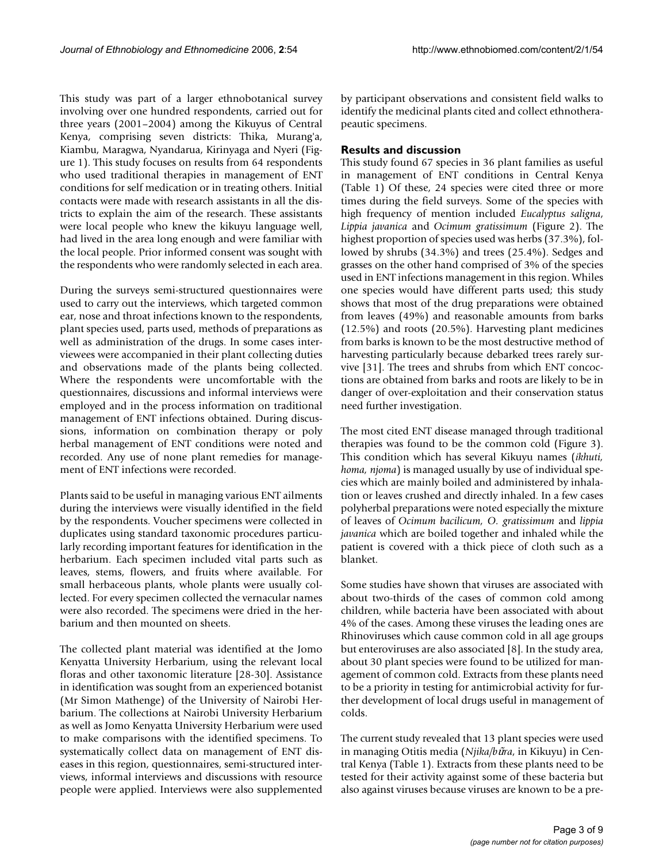This study was part of a larger ethnobotanical survey involving over one hundred respondents, carried out for three years (2001–2004) among the Kikuyus of Central Kenya, comprising seven districts: Thika, Murang'a, Kiambu, Maragwa, Nyandarua, Kirinyaga and Nyeri (Figure 1). This study focuses on results from 64 respondents who used traditional therapies in management of ENT conditions for self medication or in treating others. Initial contacts were made with research assistants in all the districts to explain the aim of the research. These assistants were local people who knew the kikuyu language well, had lived in the area long enough and were familiar with the local people. Prior informed consent was sought with the respondents who were randomly selected in each area.

During the surveys semi-structured questionnaires were used to carry out the interviews, which targeted common ear, nose and throat infections known to the respondents, plant species used, parts used, methods of preparations as well as administration of the drugs. In some cases interviewees were accompanied in their plant collecting duties and observations made of the plants being collected. Where the respondents were uncomfortable with the questionnaires, discussions and informal interviews were employed and in the process information on traditional management of ENT infections obtained. During discussions, information on combination therapy or poly herbal management of ENT conditions were noted and recorded. Any use of none plant remedies for management of ENT infections were recorded.

Plants said to be useful in managing various ENT ailments during the interviews were visually identified in the field by the respondents. Voucher specimens were collected in duplicates using standard taxonomic procedures particularly recording important features for identification in the herbarium. Each specimen included vital parts such as leaves, stems, flowers, and fruits where available. For small herbaceous plants, whole plants were usually collected. For every specimen collected the vernacular names were also recorded. The specimens were dried in the herbarium and then mounted on sheets.

The collected plant material was identified at the Jomo Kenyatta University Herbarium, using the relevant local floras and other taxonomic literature [28-30]. Assistance in identification was sought from an experienced botanist (Mr Simon Mathenge) of the University of Nairobi Herbarium. The collections at Nairobi University Herbarium as well as Jomo Kenyatta University Herbarium were used to make comparisons with the identified specimens. To systematically collect data on management of ENT diseases in this region, questionnaires, semi-structured interviews, informal interviews and discussions with resource people were applied. Interviews were also supplemented

by participant observations and consistent field walks to identify the medicinal plants cited and collect ethnotherapeautic specimens.

# **Results and discussion**

This study found 67 species in 36 plant families as useful in management of ENT conditions in Central Kenya (Table 1) Of these, 24 species were cited three or more times during the field surveys. Some of the species with high frequency of mention included *Eucalyptus saligna*, *Lippia javanica* and *Ocimum gratissimum* (Figure 2). The highest proportion of species used was herbs (37.3%), followed by shrubs (34.3%) and trees (25.4%). Sedges and grasses on the other hand comprised of 3% of the species used in ENT infections management in this region. Whiles one species would have different parts used; this study shows that most of the drug preparations were obtained from leaves (49%) and reasonable amounts from barks (12.5%) and roots (20.5%). Harvesting plant medicines from barks is known to be the most destructive method of harvesting particularly because debarked trees rarely survive [31]. The trees and shrubs from which ENT concoctions are obtained from barks and roots are likely to be in danger of over-exploitation and their conservation status need further investigation.

The most cited ENT disease managed through traditional therapies was found to be the common cold (Figure 3). This condition which has several Kikuyu names (*ikhuti, homa, njoma*) is managed usually by use of individual species which are mainly boiled and administered by inhalation or leaves crushed and directly inhaled. In a few cases polyherbal preparations were noted especially the mixture of leaves of *Ocimum bacilicum, O. gratissimum* and *lippia javanica* which are boiled together and inhaled while the patient is covered with a thick piece of cloth such as a blanket.

Some studies have shown that viruses are associated with about two-thirds of the cases of common cold among children, while bacteria have been associated with about 4% of the cases. Among these viruses the leading ones are Rhinoviruses which cause common cold in all age groups but enteroviruses are also associated [8]. In the study area, about 30 plant species were found to be utilized for management of common cold. Extracts from these plants need to be a priority in testing for antimicrobial activity for further development of local drugs useful in management of colds.

The current study revealed that 13 plant species were used in managing Otitis media (*Njika/b*ũ*ra*, in Kikuyu) in Central Kenya (Table 1). Extracts from these plants need to be tested for their activity against some of these bacteria but also against viruses because viruses are known to be a pre-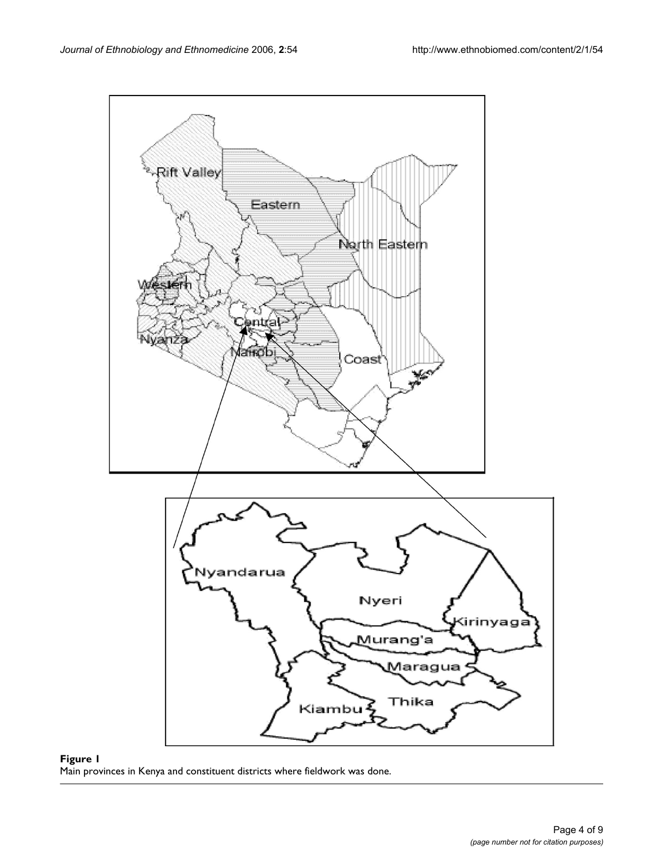

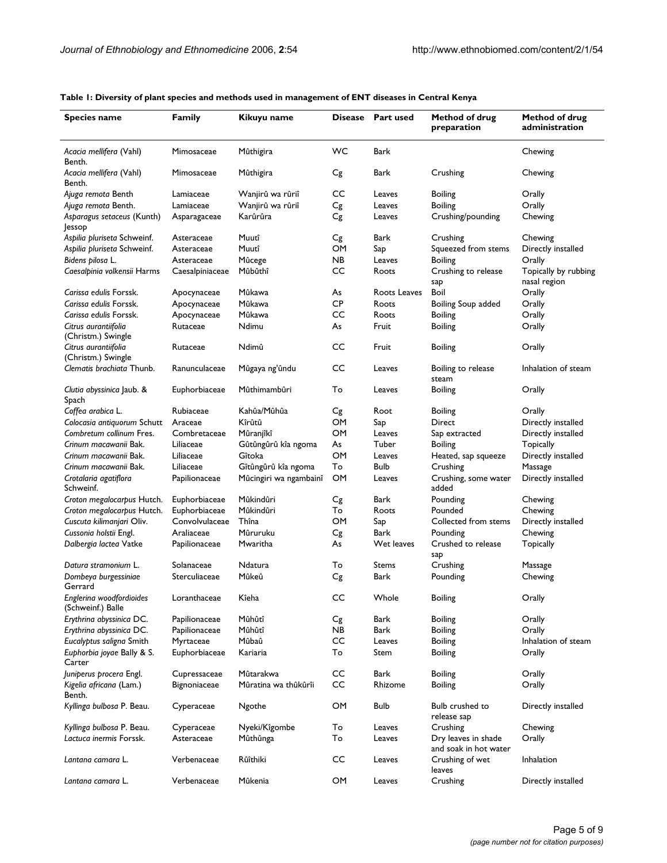| <b>Species name</b>                           | <b>Family</b>   | Kikuyu name            | <b>Disease</b> | <b>Part used</b> | Method of drug<br>preparation                | <b>Method of drug</b><br>administration |
|-----------------------------------------------|-----------------|------------------------|----------------|------------------|----------------------------------------------|-----------------------------------------|
| Acacia mellifera (Vahl)<br>Benth.             | Mimosaceae      | Mûthigira              | <b>WC</b>      | <b>Bark</b>      |                                              | Chewing                                 |
| Acacia mellifera (Vahl)<br>Benth.             | Mimosaceae      | Mûthigira              | Cg             | Bark             | Crushing                                     | Chewing                                 |
| Ajuga remota Benth                            | Lamiaceae       | Wanjirû wa rûriî       | CC             | Leaves           | <b>Boiling</b>                               | Orally                                  |
| Ajuga remota Benth.                           | Lamiaceae       | Wanjirû wa rûriî       | Cg             | Leaves           | <b>Boiling</b>                               | Orally                                  |
| Asparagus setaceus (Kunth)<br>Jessop          | Asparagaceae    | Karûrûra               | Cg             | Leaves           | Crushing/pounding                            | Chewing                                 |
| Aspilia pluriseta Schweinf.                   | Asteraceae      | Muutî                  | Cg             | Bark             | Crushing                                     | Chewing                                 |
| Aspilia pluriseta Schweinf.                   | Asteraceae      | Muutî                  | OM             | Sap              | Squeezed from stems                          | Directly installed                      |
| Bidens pilosa L.                              | Asteraceae      | Mûcege                 | NB             | Leaves           | <b>Boiling</b>                               | Orally                                  |
| Caesalpinia volkensii Harms                   | Caesalpiniaceae | Mûbûthî                | CС             | Roots            | Crushing to release                          | Topically by rubbing                    |
|                                               |                 |                        |                |                  | sap                                          | nasal region                            |
| Carissa edulis Forssk.                        | Apocynaceae     | Mûkawa                 | As             | Roots Leaves     | Boil                                         | Orally                                  |
| Carissa edulis Forssk.                        | Apocynaceae     | Mûkawa                 | CP             | Roots            | Boiling Soup added                           | Orally                                  |
| Carissa edulis Forssk.                        | Apocynaceae     | Mûkawa                 | CC             | Roots            | <b>Boiling</b>                               | Orally                                  |
|                                               | Rutaceae        | Ndimu                  | As             | Fruit            |                                              |                                         |
| Citrus aurantiifolia<br>(Christm.) Swingle    |                 |                        |                |                  | <b>Boiling</b>                               | Orally                                  |
| Citrus aurantiifolia<br>(Christm.) Swingle    | Rutaceae        | Ndimû                  | CC             | Fruit            | <b>Boiling</b>                               | Orally                                  |
| Clematis brachiata Thunb.                     | Ranunculaceae   | Mûgaya ng'ûndu         | CC             | Leaves           | Boiling to release<br>steam                  | Inhalation of steam                     |
| Clutia abyssinica Jaub. &<br>Spach            | Euphorbiaceae   | Mûthimambûri           | To             | Leaves           | <b>Boiling</b>                               | Orally                                  |
| Coffea arabica L.                             | Rubiaceae       | Kahûa/Mûhûa            | Cg             | Root             | <b>Boiling</b>                               | Orally                                  |
| Colocasia antiquorum Schutt                   | Araceae         | Kîrûtû                 | OM             | Sap              | Direct                                       | Directly installed                      |
| Combretum collinum Fres.                      | Combretaceae    | Mûranjîkî              | <b>OM</b>      | Leaves           | Sap extracted                                | Directly installed                      |
| Crinum macawanii Bak.                         | Liliaceae       | Gûtûngûrû kîa ngoma    | As             | Tuber            | <b>Boiling</b>                               | Topically                               |
| Crinum macawanii Bak.                         | Liliaceae       | Gîtoka                 | OM.            | Leaves           | Heated, sap squeeze                          | Directly installed                      |
| Crinum macawanii Bak.                         | Liliaceae       | Gîtûngûrû kîa ngoma    | То             | <b>Bulb</b>      | Crushing                                     | Massage                                 |
| Crotalaria agatiflora                         | Papilionaceae   | Mûcingiri wa ngambainî | OM             | Leaves           | Crushing, some water                         | Directly installed                      |
| Schweinf.                                     |                 | Mûkindûri              |                |                  | added                                        |                                         |
| Croton megalocarpus Hutch.                    | Euphorbiaceae   |                        | Cg             | Bark             | Pounding                                     | Chewing                                 |
| Croton megalocarpus Hutch.                    | Euphorbiaceae   | Mûkindûri              | То             | Roots            | Pounded                                      | Chewing                                 |
| Cuscuta kilimanjari Oliv.                     | Convolvulaceae  | Thîna                  | OM.            | Sap              | Collected from stems                         | Directly installed                      |
| Cussonia holstii Engl.                        | Araliaceae      | Mûruruku               | Cg             | <b>Bark</b>      | Pounding                                     | Chewing                                 |
| Dalbergia lactea Vatke                        | Papilionaceae   | Mwaritha               | As             | Wet leaves       | Crushed to release<br>sap                    | Topically                               |
| Datura stramonium L.                          | Solanaceae      | Ndatura                | То             | Stems            | Crushing                                     | Massage                                 |
| Dombeya burgessiniae<br>Gerrard               | Sterculiaceae   | Mûkeû                  | Cg             | Bark             | Pounding                                     | Chewing                                 |
| Englerina woodfordioides<br>(Schweinf.) Balle | Loranthaceae    | Kîeha                  | CC             | Whole            | <b>Boiling</b>                               | Orally                                  |
| Erythrina abyssinica DC.                      | Papilionaceae   | Mûhûtî                 | Cg             | Bark             | Boiling                                      | Orally                                  |
| Erythrina abyssinica DC.                      | Papilionaceae   | Mûhûtî                 | NB             | Bark             | Boiling                                      | Orally                                  |
| Eucalyptus saligna Smith                      | Myrtaceae       | Mûbaû                  | CC             | Leaves           | <b>Boiling</b>                               | Inhalation of steam                     |
| Euphorbia joyae Bally & S.                    | Euphorbiaceae   | Kariaria               | То             | Stem             | <b>Boiling</b>                               | Orally                                  |
| Carter                                        |                 |                        |                |                  |                                              |                                         |
| Juniperus procera Engl.                       | Cupressaceae    | Mûtarakwa              | CC             | Bark             | <b>Boiling</b>                               | Orally                                  |
| Kigelia africana (Lam.)<br>Benth.             | Bignoniaceae    | Mûratina wa thûkûrîi   | CC             | Rhizome          | <b>Boiling</b>                               | Orally                                  |
| Kyllinga bulbosa P. Beau.                     | Cyperaceae      | Ngothe                 | OM             | <b>Bulb</b>      | Bulb crushed to<br>release sap               | Directly installed                      |
| Kyllinga bulbosa P. Beau.                     | Cyperaceae      | Nyeki/Kîgombe          | To             | Leaves           | Crushing                                     | Chewing                                 |
| Lactuca inermis Forssk.                       | Asteraceae      | Mûthûnga               | To             | Leaves           | Dry leaves in shade<br>and soak in hot water | Orally                                  |
| Lantana camara L.                             | Verbenaceae     | Rûîthiki               | CC             | Leaves           | Crushing of wet<br>leaves                    | Inhalation                              |
| Lantana camara L.                             | Verbenaceae     | Mûkenia                | OM             | Leaves           | Crushing                                     | Directly installed                      |

#### **Table 1: Diversity of plant species and methods used in management of ENT diseases in Central Kenya**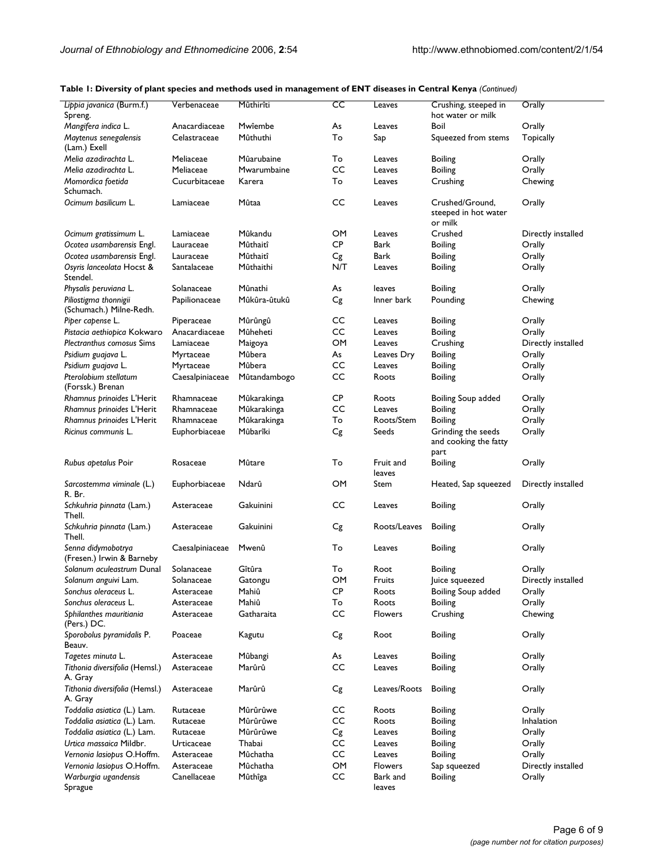| Lippia javanica (Burm.f.)<br>Spreng.             | Verbenaceae     | Mûthirîti    | $\overline{cc}$ | Leaves              | Crushing, steeped in<br>hot water or milk           | Orally             |
|--------------------------------------------------|-----------------|--------------|-----------------|---------------------|-----------------------------------------------------|--------------------|
| Mangifera indica L.                              | Anacardiaceae   | Mwîembe      | As              | Leaves              | Boil                                                | Orally             |
| Maytenus senegalensis                            | Celastraceae    | Mûthuthi     | То              | Sap                 | Squeezed from stems                                 | Topically          |
| (Lam.) Exell                                     |                 |              |                 |                     |                                                     |                    |
| Melia azadirachta L.                             | Meliaceae       | Mûarubaine   | To              | Leaves              | <b>Boiling</b>                                      | Orally             |
| Melia azadirachta L.                             | Meliaceae       | Mwarumbaine  | CC              | Leaves              | <b>Boiling</b>                                      | Orally             |
| Momordica foetida<br>Schumach.                   | Cucurbitaceae   | Karera       | То              | Leaves              | Crushing                                            | Chewing            |
| Ocimum basilicum L.                              | Lamiaceae       | Mûtaa        | CC              | Leaves              | Crushed/Ground.                                     | Orally             |
|                                                  |                 |              |                 |                     | steeped in hot water<br>or milk                     |                    |
| Ocimum gratissimum L.                            | Lamiaceae       | Mûkandu      | OM              | Leaves              | Crushed                                             | Directly installed |
| Ocotea usambarensis Engl.                        | Lauraceae       | Mûthaitî     | CP              | Bark                | <b>Boiling</b>                                      | Orally             |
| Ocotea usambarensis Engl.                        |                 | Mûthaitî     |                 | Bark                | <b>Boiling</b>                                      | Orally             |
|                                                  | Lauraceae       |              | Cg              |                     |                                                     |                    |
| Osyris lanceolata Hocst &<br>Stendel.            | Santalaceae     | Mûthaithi    | N/T             | Leaves              | <b>Boiling</b>                                      | Orally             |
| Physalis peruviana L.                            | Solanaceae      | Mûnathi      | As              | leaves              | <b>Boiling</b>                                      | Orally             |
| Piliostigma thonnigii<br>(Schumach.) Milne-Redh. | Papilionaceae   | Mûkûra-ûtukû | Cg              | Inner bark          | Pounding                                            | Chewing            |
| Piper capense L.                                 | Piperaceae      | Mûrûngû      | CС              | Leaves              | <b>Boiling</b>                                      | Orally             |
| Pistacia aethiopica Kokwaro                      | Anacardiaceae   | Mûheheti     | CC              | Leaves              | <b>Boiling</b>                                      |                    |
|                                                  |                 |              |                 |                     |                                                     | Orally             |
| Plectranthus comosus Sims                        | Lamiaceae       | Maigoya      | OM              | Leaves              | Crushing                                            | Directly installed |
| Psidium guajava L.                               | Myrtaceae       | Mûbera       | As              | Leaves Dry          | Boiling                                             | Orally             |
| Psidium guajava L.                               | Myrtaceae       | Mûbera       | CC              | Leaves              | <b>Boiling</b>                                      | Orally             |
| Pterolobium stellatum                            | Caesalpiniaceae | Mûtandambogo | CС              | Roots               | <b>Boiling</b>                                      | Orally             |
| (Forssk.) Brenan                                 | Rhamnaceae      |              | <b>CP</b>       |                     |                                                     |                    |
| Rhamnus prinoides L'Herit                        |                 | Mûkarakinga  |                 | Roots               | Boiling Soup added                                  | Orally             |
| Rhamnus prinoides L'Herit                        | Rhamnaceae      | Mûkarakinga  | CC              | Leaves              | <b>Boiling</b>                                      | Orally             |
| Rhamnus prinoides L'Herit                        | Rhamnaceae      | Mûkarakinga  | To              | Roots/Stem          | <b>Boiling</b>                                      | Orally             |
| Ricinus communis L.                              | Euphorbiaceae   | Mûbarîki     | $C_g$           | Seeds               | Grinding the seeds<br>and cooking the fatty<br>part | Orally             |
| Rubus apetalus Poir                              | Rosaceae        | Mûtare       | To              | Fruit and<br>leaves | <b>Boiling</b>                                      | Orally             |
| Sarcostemma viminale (L.)<br>R. Br.              | Euphorbiaceae   | Ndarû        | OM              | Stem                | Heated, Sap squeezed                                | Directly installed |
| Schkuhria pinnata (Lam.)<br>Thell.               | Asteraceae      | Gakuinini    | CС              | Leaves              | <b>Boiling</b>                                      | Orally             |
| Schkuhria pinnata (Lam.)<br>Thell.               | Asteraceae      | Gakuinini    | Cg              | Roots/Leaves        | <b>Boiling</b>                                      | Orally             |
| Senna didymobotrya                               | Caesalpiniaceae | Mwenû        | To              | Leaves              | <b>Boiling</b>                                      | Orally             |
| (Fresen.) Irwin & Barneby                        |                 |              |                 |                     |                                                     |                    |
| Solanum aculeastrum Dunal                        | Solanaceae      | Gîtûra       | То              | Root                | <b>Boiling</b>                                      | Orally             |
| Solanum anguivi Lam.                             | Solanaceae      | Gatongu      | OM              | Fruits              | Juice squeezed                                      | Directly installed |
| Sonchus oleraceus L.                             | Asteraceae      | Mahiû        | <b>CP</b>       | Roots               | Boiling Soup added                                  | Orally             |
| Sonchus oleraceus L.                             | Asteraceae      | Mahiû        | То              | Roots               | <b>Boiling</b>                                      | Orally             |
| Sphilanthes mauritiania<br>(Pers.) DC.           | Asteraceae      | Gatharaita   | CC              | <b>Flowers</b>      | Crushing                                            | Chewing            |
| Sporobolus pyramidalis P.<br>Beauv.              | Poaceae         | Kagutu       | Cg              | Root                | <b>Boiling</b>                                      | Orally             |
| Tagetes minuta L.                                | Asteraceae      | Mûbangi      | As              | Leaves              | <b>Boiling</b>                                      | Orally             |
| Tithonia diversifolia (Hemsl.)<br>A. Gray        | Asteraceae      | Marûrû       | CC              | Leaves              | <b>Boiling</b>                                      | Orally             |
| Tithonia diversifolia (Hemsl.)                   | Asteraceae      | Marûrû       | Cg              | Leaves/Roots        | <b>Boiling</b>                                      | Orally             |
| A. Gray<br>Toddalia asiatica (L.) Lam.           | Rutaceae        | Mûrûrûwe     | CC              | Roots               | <b>Boiling</b>                                      | Orally             |
| Toddalia asiatica (L.) Lam.                      | Rutaceae        | Mûrûrûwe     | CC              | Roots               | <b>Boiling</b>                                      | Inhalation         |
|                                                  |                 |              |                 |                     |                                                     |                    |
| Toddalia asiatica (L.) Lam.                      | Rutaceae        | Mûrûrûwe     | Cg              | Leaves              | <b>Boiling</b>                                      | Orally             |
| Urtica massaica Mildbr.                          | Urticaceae      | Thabai       | CC              | Leaves              | <b>Boiling</b>                                      | Orally             |
| Vernonia lasiopus O.Hoffm.                       | Asteraceae      | Mûchatha     | CC              | Leaves              | <b>Boiling</b>                                      | Orally             |
| Vernonia lasiopus O.Hoffm.                       | Asteraceae      | Mûchatha     | OM              | <b>Flowers</b>      | Sap squeezed                                        | Directly installed |
| Warburgia ugandensis                             | Canellaceae     | Mûthîga      | CC              | Bark and            | <b>Boiling</b>                                      | Orally             |
| Sprague                                          |                 |              |                 | leaves              |                                                     |                    |

|  | Table 1: Diversity of plant species and methods used in management of ENT diseases in Central Kenya (Continued) |  |  |
|--|-----------------------------------------------------------------------------------------------------------------|--|--|
|--|-----------------------------------------------------------------------------------------------------------------|--|--|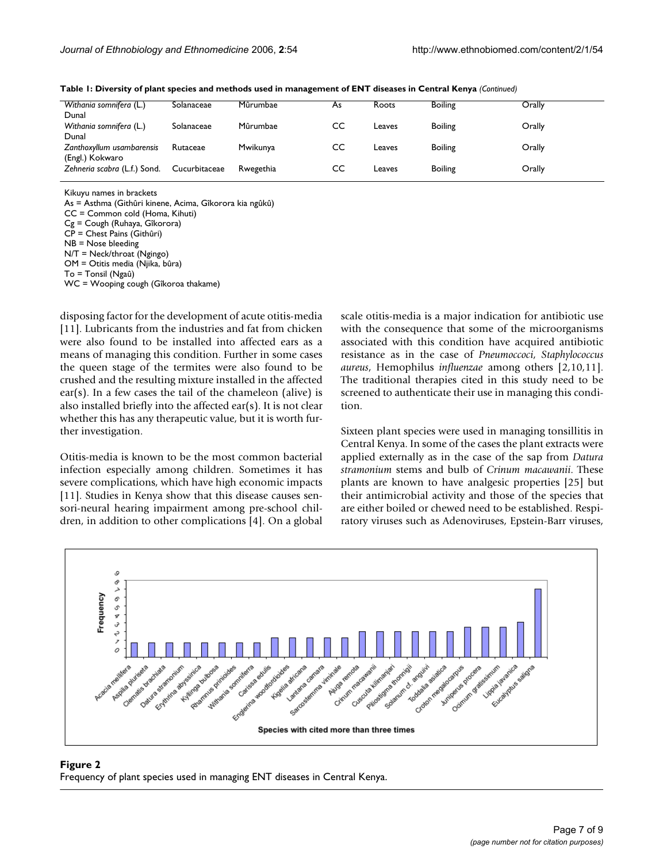| Withania somnifera (L.)      | Solanaceae    | Mûrumbae  | As | Roots  | <b>Boiling</b> | Orally |
|------------------------------|---------------|-----------|----|--------|----------------|--------|
| Dunal                        |               |           |    |        |                |        |
| Withania somnifera (L.)      | Solanaceae    | Mûrumbae  | CС | Leaves | <b>Boiling</b> | Orally |
| Dunal                        |               |           |    |        |                |        |
| Zanthoxyllum usambarensis    | Rutaceae      | Mwikunya  | CC | Leaves | <b>Boiling</b> | Orally |
| (Engl.) Kokwaro              |               |           |    |        |                |        |
| Zehneria scabra (L.f.) Sond. | Cucurbitaceae | Rwegethia | CC | Leaves | <b>Boiling</b> | Orally |
|                              |               |           |    |        |                |        |
|                              |               |           |    |        |                |        |

**Table 1: Diversity of plant species and methods used in management of ENT diseases in Central Kenya** *(Continued)*

Kikuyu names in brackets

As = Asthma (Githûri kinene, Acima, Gîkorora kia ngûkû)

CC = Common cold (Homa, Kihuti) Cg = Cough (Ruhaya, Gîkorora) CP = Chest Pains (Githûri) NB = Nose bleeding N/T = Neck/throat (Ngingo)

OM = Otitis media (Njika, bûra)

To = Tonsil (Ngaû)

WC = Wooping cough (Gîkoroa thakame)

disposing factor for the development of acute otitis-media [11]. Lubricants from the industries and fat from chicken were also found to be installed into affected ears as a means of managing this condition. Further in some cases the queen stage of the termites were also found to be crushed and the resulting mixture installed in the affected ear(s). In a few cases the tail of the chameleon (alive) is also installed briefly into the affected ear(s). It is not clear whether this has any therapeutic value, but it is worth further investigation.

Otitis-media is known to be the most common bacterial infection especially among children. Sometimes it has severe complications, which have high economic impacts [11]. Studies in Kenya show that this disease causes sensori-neural hearing impairment among pre-school children, in addition to other complications [4]. On a global scale otitis-media is a major indication for antibiotic use with the consequence that some of the microorganisms associated with this condition have acquired antibiotic resistance as in the case of *Pneumoccoci*, *Staphylococcus aureus*, Hemophilus *influenzae* among others [2,10,11]. The traditional therapies cited in this study need to be screened to authenticate their use in managing this condition.

Sixteen plant species were used in managing tonsillitis in Central Kenya. In some of the cases the plant extracts were applied externally as in the case of the sap from *Datura stramonium* stems and bulb of *Crinum macawanii*. These plants are known to have analgesic properties [25] but their antimicrobial activity and those of the species that are either boiled or chewed need to be established. Respiratory viruses such as Adenoviruses, Epstein-Barr viruses,



#### Figure 2 Frequency of plant species used in managing ENT diseases in Central Kenya.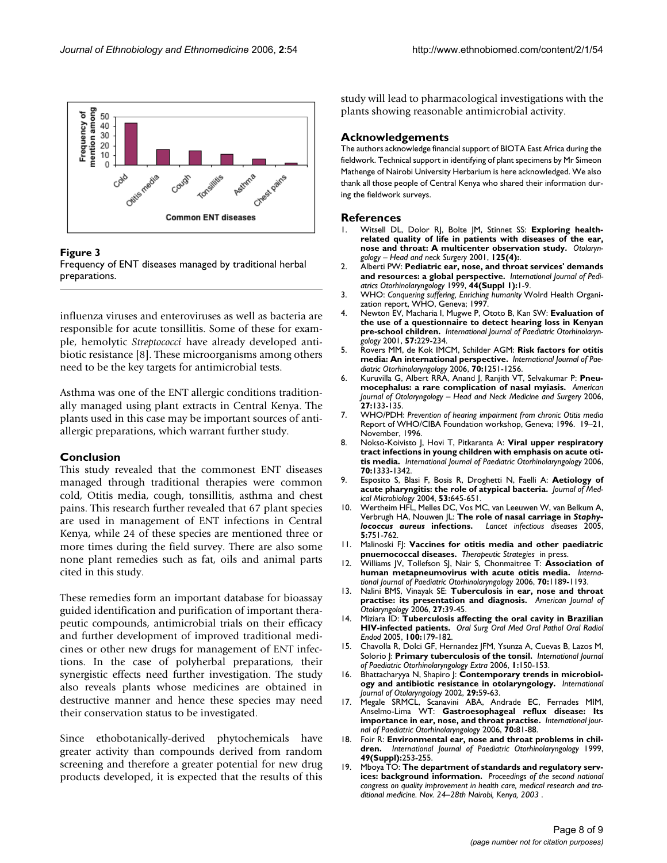

#### Figure 3

Frequency of ENT diseases managed by traditional herbal preparations.

influenza viruses and enteroviruses as well as bacteria are responsible for acute tonsillitis. Some of these for example, hemolytic *Streptococci* have already developed antibiotic resistance [8]. These microorganisms among others need to be the key targets for antimicrobial tests.

Asthma was one of the ENT allergic conditions traditionally managed using plant extracts in Central Kenya. The plants used in this case may be important sources of antiallergic preparations, which warrant further study.

### **Conclusion**

This study revealed that the commonest ENT diseases managed through traditional therapies were common cold, Otitis media, cough, tonsillitis, asthma and chest pains. This research further revealed that 67 plant species are used in management of ENT infections in Central Kenya, while 24 of these species are mentioned three or more times during the field survey. There are also some none plant remedies such as fat, oils and animal parts cited in this study.

These remedies form an important database for bioassay guided identification and purification of important therapeutic compounds, antimicrobial trials on their efficacy and further development of improved traditional medicines or other new drugs for management of ENT infections. In the case of polyherbal preparations, their synergistic effects need further investigation. The study also reveals plants whose medicines are obtained in destructive manner and hence these species may need their conservation status to be investigated.

Since ethobotanically-derived phytochemicals have greater activity than compounds derived from random screening and therefore a greater potential for new drug products developed, it is expected that the results of this study will lead to pharmacological investigations with the plants showing reasonable antimicrobial activity.

#### **Acknowledgements**

The authors acknowledge financial support of BIOTA East Africa during the fieldwork. Technical support in identifying of plant specimens by Mr Simeon Mathenge of Nairobi University Herbarium is here acknowledged. We also thank all those people of Central Kenya who shared their information during the fieldwork surveys.

### **References**

- 1. Witsell DL, Dolor RJ, Bolte JM, Stinnet SS: **Exploring healthrelated quality of life in patients with diseases of the ear, nose and throat: A multicenter observation study.** *Otolaryngology – Head and neck Surgery* 2001, **125(4):**.
- 2. Alberti PW: **Pediatric ear, nose, and throat services' demands and resources: a global perspective.** *International Journal of Pediatrics Otorhinolaryngology* 1999, **44(Suppl 1):**1-9.
- 3. WHO: *Conquering suffering, Enriching humanity* Wolrd Health Organization report, WHO, Geneva; 1997.
- 4. Newton EV, Macharia I, Mugwe P, Ototo B, Kan SW: **Evaluation of the use of a questionnaire to detect hearing loss in Kenyan pre-school children.** *International Journal of Paediatric Otorhinolaryngology* 2001, **57:**229-234.
- 5. Rovers MM, de Kok IMCM, Schilder AGM: **Risk factors for otitis media: An international perspective.** *International Journal of Paediatric Otorhinolaryngology* 2006, **70:**1251-1256.
- 6. Kuruvilla G, Albert RRA, Anand J, Ranjith VT, Selvakumar P: **Pneumocephalus: a rare complication of nasal myiasis.** *American Journal of Otolaryngology – Head and Neck Medicine and Surgery* 2006, **27:**133-135.
- 7. WHO/PDH: *Prevention of hearing impairment from chronic Otitis media* Report of WHO/CIBA Foundation workshop, Geneva; 1996. 19–21, November, 1996.
- 8. Nokso-Koivisto J, Hovi T, Pitkaranta A: **Viral upper respiratory tract infections in young children with emphasis on acute otitis media.** *International Journal of Paediatric Otorhinolaryngology* 2006, **70:**1333-1342.
- 9. Esposito S, Blasi F, Bosis R, Droghetti N, Faelli A: **[Aetiology of](http://www.ncbi.nlm.nih.gov/entrez/query.fcgi?cmd=Retrieve&db=PubMed&dopt=Abstract&list_uids=15184536) [acute pharyngitis: the role of atypical bacteria.](http://www.ncbi.nlm.nih.gov/entrez/query.fcgi?cmd=Retrieve&db=PubMed&dopt=Abstract&list_uids=15184536)** *Journal of Medical Microbiology* 2004, **53:**645-651.
- 10. Wertheim HFL, Melles DC, Vos MC, van Leeuwen W, van Belkum A, Verbrugh HA, Nouwen JL: **The role of nasal carriage in** *Staphylococcus aureus* **[infections.](http://www.ncbi.nlm.nih.gov/entrez/query.fcgi?cmd=Retrieve&db=PubMed&dopt=Abstract&list_uids=16310147)** *Lancet infectious diseases* 2005, **5:**751-762.
- 11. Malinoski FJ: **Vaccines for otitis media and other paediatric pnuemococcal diseases.** *Therapeutic Strategies* in press.
- 12. Williams JV, Tollefson SJ, Nair S, Chonmaitree T: **Association of human metapneumovirus with acute otitis media.** *International Journal of Paediatric Otorhinolaryngology* 2006, **70:**1189-1193.
- 13. Nalini BMS, Vinayak SE: **[Tuberculosis in ear, nose and throat](http://www.ncbi.nlm.nih.gov/entrez/query.fcgi?cmd=Retrieve&db=PubMed&dopt=Abstract&list_uids=16360822) [practise: its presentation and diagnosis.](http://www.ncbi.nlm.nih.gov/entrez/query.fcgi?cmd=Retrieve&db=PubMed&dopt=Abstract&list_uids=16360822)** *American Journal of Otolaryngology* 2006, **27:**39-45.
- 14. Miziara ID: **[Tuberculosis affecting the oral cavity in Brazilian](http://www.ncbi.nlm.nih.gov/entrez/query.fcgi?cmd=Retrieve&db=PubMed&dopt=Abstract&list_uids=16037775) [HIV-infected patients.](http://www.ncbi.nlm.nih.gov/entrez/query.fcgi?cmd=Retrieve&db=PubMed&dopt=Abstract&list_uids=16037775)** *Oral Surg Oral Med Oral Pathol Oral Radiol Endod* 2005, **100:**179-182.
- 15. Chavolla R, Dolci GF, Hernandez JFM, Ysunza A, Cuevas B, Lazos M, Solorio J: **Primary tuberculosis of the tonsil.** *International Journal of Paediatric Otorhinolaryngology Extra* 2006, **1:**150-153.
- 16. Bhattacharyya N, Shapiro J: **Contemporary trends in microbiology and antibiotic resistance in otolaryngology.** *International Journal of Otolaryngology* 2002, **29:**59-63.
- 17. Megale SRMCL, Scanavini ABA, Andrade EC, Fernades MIM, Anselmo-Lima WT: **Gastroesophageal reflux disease: Its importance in ear, nose, and throat practise.** *International journal of Paediatric Otorhinolaryngology* 2006, **70:**81-88.
- 18. Foir R: **Environmental ear, nose and throat problems in children.** *International Journal of Paediatric Otorhinolaryngology* 1999, **49(Suppl):**253-255.
- 19. Mboya TO: **The department of standards and regulatory services: background information.** *Proceedings of the second national congress on quality improvement in health care, medical research and traditional medicine. Nov. 24–28th Nairobi, Kenya, 2003* .